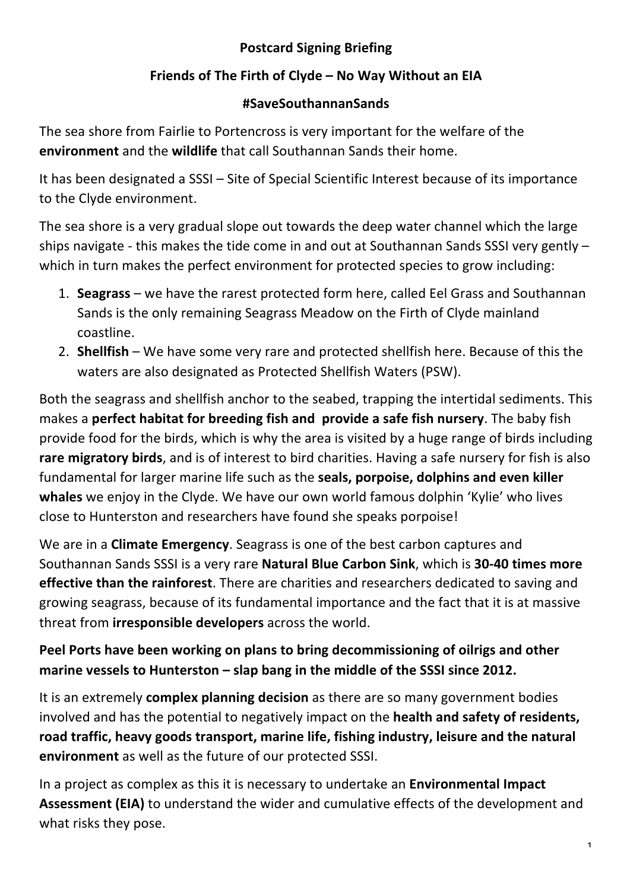## **Postcard Signing Briefing**

## Friends of The Firth of Clyde – No Way Without an EIA

#### **#SaveSouthannanSands**

The sea shore from Fairlie to Portencross is very important for the welfare of the **environment** and the **wildlife** that call Southannan Sands their home.

It has been designated a SSSI - Site of Special Scientific Interest because of its importance to the Clyde environment.

The sea shore is a very gradual slope out towards the deep water channel which the large ships navigate - this makes the tide come in and out at Southannan Sands SSSI very gently  $$ which in turn makes the perfect environment for protected species to grow including:

- 1. **Seagrass** we have the rarest protected form here, called Eel Grass and Southannan Sands is the only remaining Seagrass Meadow on the Firth of Clyde mainland coastline.
- 2. **Shellfish** We have some very rare and protected shellfish here. Because of this the waters are also designated as Protected Shellfish Waters (PSW).

Both the seagrass and shellfish anchor to the seabed, trapping the intertidal sediments. This makes a **perfect habitat for breeding fish and provide a safe fish nursery**. The baby fish provide food for the birds, which is why the area is visited by a huge range of birds including **rare migratory birds**, and is of interest to bird charities. Having a safe nursery for fish is also fundamental for larger marine life such as the **seals, porpoise, dolphins and even killer whales** we enjoy in the Clyde. We have our own world famous dolphin 'Kylie' who lives close to Hunterston and researchers have found she speaks porpoise!

We are in a **Climate Emergency**. Seagrass is one of the best carbon captures and Southannan Sands SSSI is a very rare **Natural Blue Carbon Sink**, which is 30-40 times more **effective than the rainforest**. There are charities and researchers dedicated to saving and growing seagrass, because of its fundamental importance and the fact that it is at massive **threat from irresponsible developers** across the world.

# Peel Ports have been working on plans to bring decommissioning of oilrigs and other **marine vessels to Hunterston – slap bang in the middle of the SSSI since 2012.**

It is an extremely **complex planning decision** as there are so many government bodies involved and has the potential to negatively impact on the **health and safety of residents,** road traffic, heavy goods transport, marine life, fishing industry, leisure and the natural **environment** as well as the future of our protected SSSI.

In a project as complex as this it is necessary to undertake an **Environmental Impact Assessment (EIA)** to understand the wider and cumulative effects of the development and what risks they pose.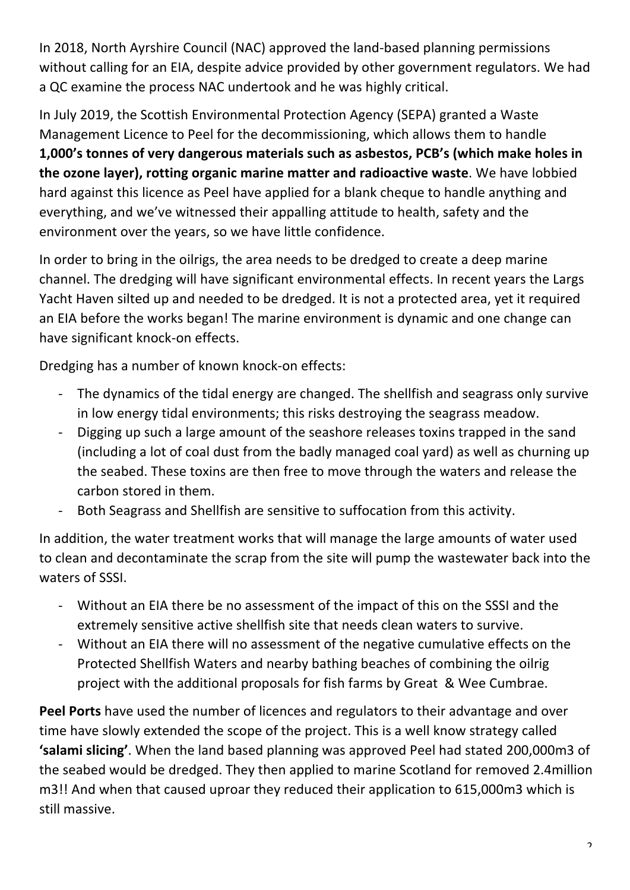In 2018, North Ayrshire Council (NAC) approved the land-based planning permissions without calling for an EIA, despite advice provided by other government regulators. We had a QC examine the process NAC undertook and he was highly critical.

In July 2019, the Scottish Environmental Protection Agency (SEPA) granted a Waste Management Licence to Peel for the decommissioning, which allows them to handle 1,000's tonnes of very dangerous materials such as asbestos, PCB's (which make holes in **the ozone layer), rotting organic marine matter and radioactive waste**. We have lobbied hard against this licence as Peel have applied for a blank cheque to handle anything and everything, and we've witnessed their appalling attitude to health, safety and the environment over the years, so we have little confidence.

In order to bring in the oilrigs, the area needs to be dredged to create a deep marine channel. The dredging will have significant environmental effects. In recent years the Largs Yacht Haven silted up and needed to be dredged. It is not a protected area, yet it required an EIA before the works began! The marine environment is dynamic and one change can have significant knock-on effects.

Dredging has a number of known knock-on effects:

- The dynamics of the tidal energy are changed. The shellfish and seagrass only survive in low energy tidal environments; this risks destroying the seagrass meadow.
- Digging up such a large amount of the seashore releases toxins trapped in the sand (including a lot of coal dust from the badly managed coal yard) as well as churning up the seabed. These toxins are then free to move through the waters and release the carbon stored in them.
- Both Seagrass and Shellfish are sensitive to suffocation from this activity.

In addition, the water treatment works that will manage the large amounts of water used to clean and decontaminate the scrap from the site will pump the wastewater back into the waters of SSSI.

- Without an EIA there be no assessment of the impact of this on the SSSI and the extremely sensitive active shellfish site that needs clean waters to survive.
- Without an EIA there will no assessment of the negative cumulative effects on the Protected Shellfish Waters and nearby bathing beaches of combining the oilrig project with the additional proposals for fish farms by Great & Wee Cumbrae.

**Peel Ports** have used the number of licences and regulators to their advantage and over time have slowly extended the scope of the project. This is a well know strategy called 'salami slicing'. When the land based planning was approved Peel had stated 200,000m3 of the seabed would be dredged. They then applied to marine Scotland for removed 2.4million m3!! And when that caused uproar they reduced their application to 615,000m3 which is still massive.